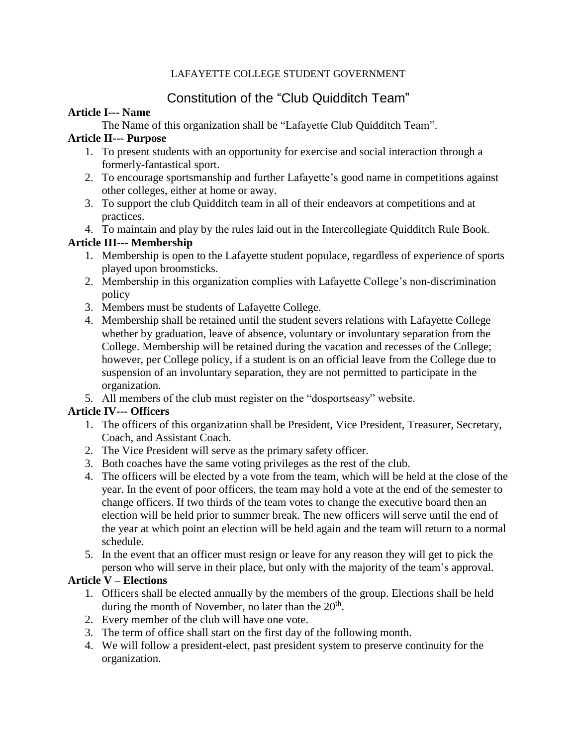#### LAFAYETTE COLLEGE STUDENT GOVERNMENT

# Constitution of the "Club Quidditch Team"

#### **Article I--- Name**

The Name of this organization shall be "Lafayette Club Quidditch Team".

## **Article II--- Purpose**

- 1. To present students with an opportunity for exercise and social interaction through a formerly-fantastical sport.
- 2. To encourage sportsmanship and further Lafayette's good name in competitions against other colleges, either at home or away.
- 3. To support the club Quidditch team in all of their endeavors at competitions and at practices.
- 4. To maintain and play by the rules laid out in the Intercollegiate Quidditch Rule Book.

# **Article III--- Membership**

- 1. Membership is open to the Lafayette student populace, regardless of experience of sports played upon broomsticks.
- 2. Membership in this organization complies with Lafayette College's non-discrimination policy
- 3. Members must be students of Lafayette College.
- 4. Membership shall be retained until the student severs relations with Lafayette College whether by graduation, leave of absence, voluntary or involuntary separation from the College. Membership will be retained during the vacation and recesses of the College; however, per College policy, if a student is on an official leave from the College due to suspension of an involuntary separation, they are not permitted to participate in the organization.
- 5. All members of the club must register on the "dosportseasy" website.

# **Article IV--- Officers**

- 1. The officers of this organization shall be President, Vice President, Treasurer, Secretary, Coach, and Assistant Coach.
- 2. The Vice President will serve as the primary safety officer.
- 3. Both coaches have the same voting privileges as the rest of the club.
- 4. The officers will be elected by a vote from the team, which will be held at the close of the year. In the event of poor officers, the team may hold a vote at the end of the semester to change officers. If two thirds of the team votes to change the executive board then an election will be held prior to summer break. The new officers will serve until the end of the year at which point an election will be held again and the team will return to a normal schedule.
- 5. In the event that an officer must resign or leave for any reason they will get to pick the person who will serve in their place, but only with the majority of the team's approval.

# **Article V – Elections**

- 1. Officers shall be elected annually by the members of the group. Elections shall be held during the month of November, no later than the  $20<sup>th</sup>$ .
- 2. Every member of the club will have one vote.
- 3. The term of office shall start on the first day of the following month.
- 4. We will follow a president-elect, past president system to preserve continuity for the organization.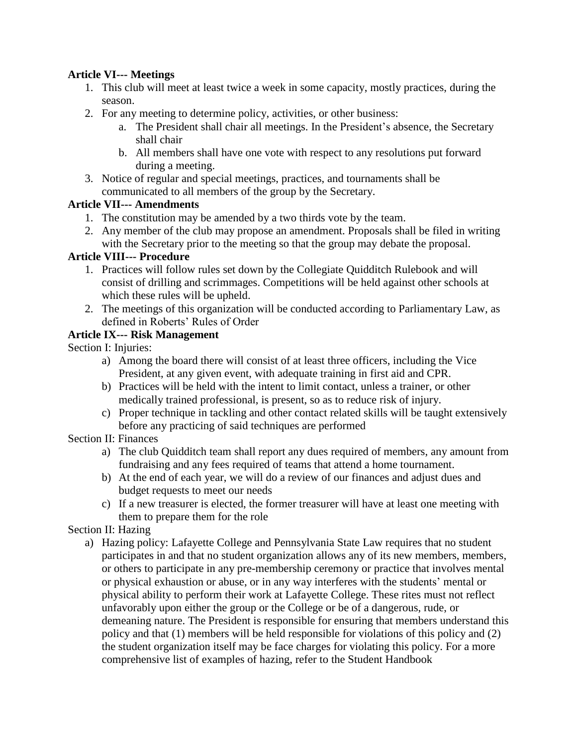## **Article VI--- Meetings**

- 1. This club will meet at least twice a week in some capacity, mostly practices, during the season.
- 2. For any meeting to determine policy, activities, or other business:
	- a. The President shall chair all meetings. In the President's absence, the Secretary shall chair
	- b. All members shall have one vote with respect to any resolutions put forward during a meeting.
- 3. Notice of regular and special meetings, practices, and tournaments shall be communicated to all members of the group by the Secretary.

## **Article VII--- Amendments**

- 1. The constitution may be amended by a two thirds vote by the team.
- 2. Any member of the club may propose an amendment. Proposals shall be filed in writing with the Secretary prior to the meeting so that the group may debate the proposal.

## **Article VIII--- Procedure**

- 1. Practices will follow rules set down by the Collegiate Quidditch Rulebook and will consist of drilling and scrimmages. Competitions will be held against other schools at which these rules will be upheld.
- 2. The meetings of this organization will be conducted according to Parliamentary Law, as defined in Roberts' Rules of Order

# **Article IX--- Risk Management**

Section I: Injuries:

- a) Among the board there will consist of at least three officers, including the Vice President, at any given event, with adequate training in first aid and CPR.
- b) Practices will be held with the intent to limit contact, unless a trainer, or other medically trained professional, is present, so as to reduce risk of injury.
- c) Proper technique in tackling and other contact related skills will be taught extensively before any practicing of said techniques are performed

# Section II: Finances

- a) The club Quidditch team shall report any dues required of members, any amount from fundraising and any fees required of teams that attend a home tournament.
- b) At the end of each year, we will do a review of our finances and adjust dues and budget requests to meet our needs
- c) If a new treasurer is elected, the former treasurer will have at least one meeting with them to prepare them for the role

#### Section II: Hazing

a) Hazing policy: Lafayette College and Pennsylvania State Law requires that no student participates in and that no student organization allows any of its new members, members, or others to participate in any pre-membership ceremony or practice that involves mental or physical exhaustion or abuse, or in any way interferes with the students' mental or physical ability to perform their work at Lafayette College. These rites must not reflect unfavorably upon either the group or the College or be of a dangerous, rude, or demeaning nature. The President is responsible for ensuring that members understand this policy and that (1) members will be held responsible for violations of this policy and (2) the student organization itself may be face charges for violating this policy. For a more comprehensive list of examples of hazing, refer to the Student Handbook